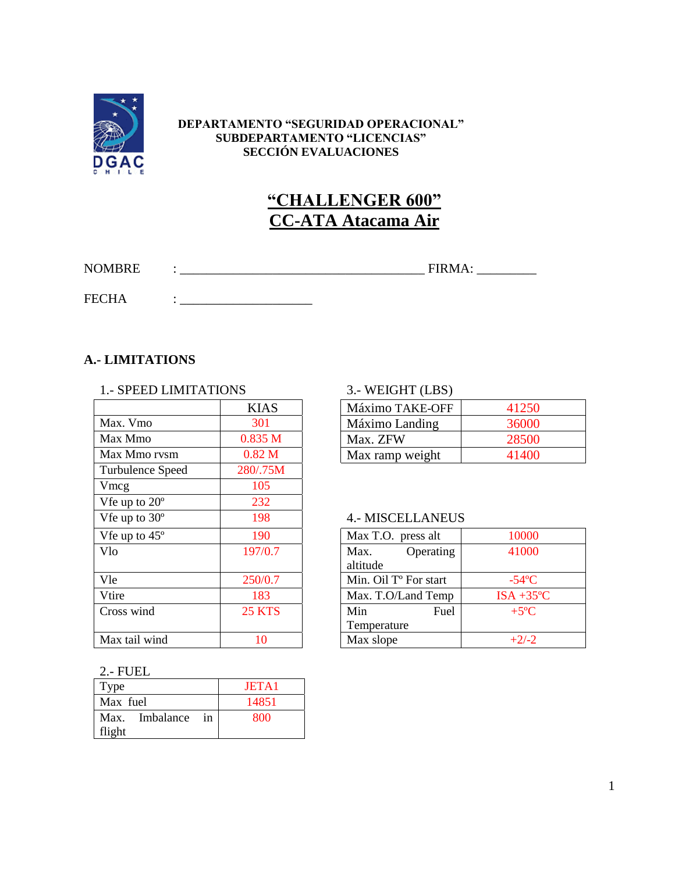

#### **DEPARTAMENTO "SEGURIDAD OPERACIONAL" SUBDEPARTAMENTO "LICENCIAS" SECCIÓN EVALUACIONES**

# **"CHALLENGER 600" CC-ATA Atacama Air**

NOMBRE : \_\_\_\_\_\_\_\_\_\_\_\_\_\_\_\_\_\_\_\_\_\_\_\_\_\_\_\_\_\_\_\_\_\_\_\_\_ FIRMA: \_\_\_\_\_\_\_\_\_

FECHA : \_\_\_\_\_\_\_\_\_\_\_\_\_\_\_\_\_\_\_\_

# **A.- LIMITATIONS**

#### 1.- SPEED LIMITATIONS 3.- WEIGHT (LBS)

| <b>KIAS</b>       | Máximo TAKE-OFF<br>41250                      |
|-------------------|-----------------------------------------------|
| 301               | 36000<br>Máximo Landing                       |
| 0.835 M           | 28500<br>Max. ZFW                             |
| 0.82 <sub>M</sub> | 41400<br>Max ramp weight                      |
| 280/.75M          |                                               |
| 105               |                                               |
| 232               |                                               |
| 198               | <b>4.- MISCELLANEUS</b>                       |
| 190               | Max T.O. press alt<br>10000                   |
| 197/0.7           | 41000<br>Operating<br>Max.<br>altitude        |
| 250/0.7           | $-54$ °C<br>Min. Oil T <sup>o</sup> For start |
| 183               | $ISA + 35'$<br>Max. T.O/Land Temp             |
| <b>25 KTS</b>     | Min<br>$+5$ °C<br>Fuel                        |
|                   | Temperature                                   |
| 10                | $+2/-2$<br>Max slope                          |
|                   |                                               |

| <b>KIAS</b> | Máximo TAKE-OFF | 41250 |
|-------------|-----------------|-------|
| 301         | Máximo Landing  | 36000 |
| .835 M      | Max. ZFW        | 28500 |
| ).82 M      | Max ramp weight | 41400 |

### 4.- MISCELLANEUS

| Vfe up to $45^{\circ}$ | 190           | Max T.O. press alt<br>10000                   |
|------------------------|---------------|-----------------------------------------------|
| Vlo                    | 197/0.7       | 41000<br>Operating<br>Max.                    |
|                        |               | altitude                                      |
| Vle                    | 250/0.7       | Min. Oil T <sup>o</sup> For start<br>$-54$ °C |
| Vtire                  | 183           | $ISA + 35^{\circ}C$<br>Max. T.O/Land Temp     |
| Cross wind             | <b>25 KTS</b> | $+5$ <sup>o</sup> C<br>Min<br>Fuel            |
|                        |               | Temperature                                   |
| Max tail wind          | 10            | Max slope<br>$+2/-2$                          |

#### 2.- FUEL

| Type           |    | JETA1 |
|----------------|----|-------|
| Max fuel       |    | 14851 |
| Max. Imbalance | in | 800   |
| flight         |    |       |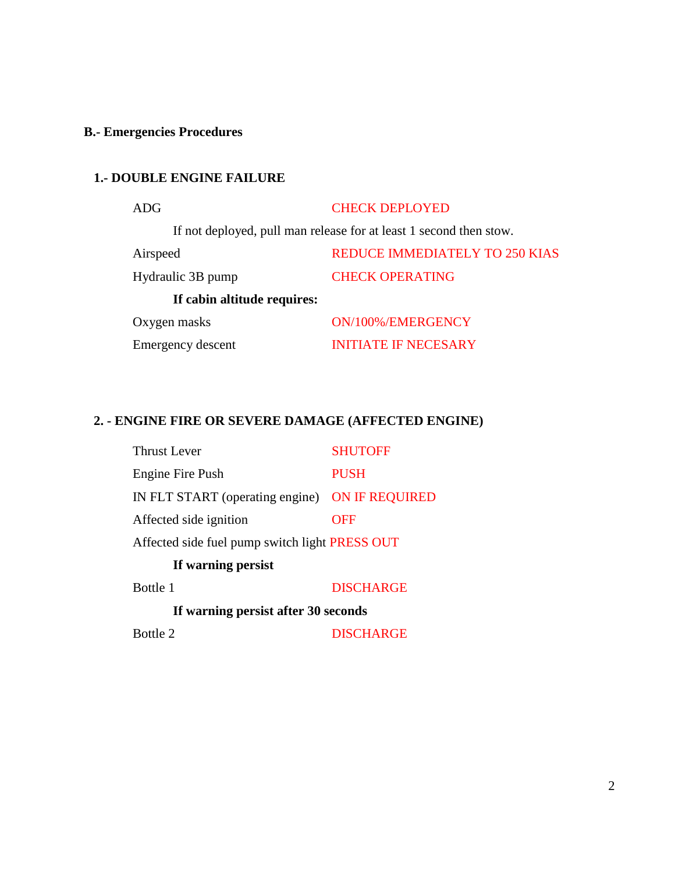# **B.- Emergencies Procedures**

# **1.- DOUBLE ENGINE FAILURE**

| ADG                                                                | <b>CHECK DEPLOYED</b>          |  |
|--------------------------------------------------------------------|--------------------------------|--|
| If not deployed, pull man release for at least 1 second then stow. |                                |  |
| Airspeed                                                           | REDUCE IMMEDIATELY TO 250 KIAS |  |
| Hydraulic 3B pump                                                  | <b>CHECK OPERATING</b>         |  |
| If cabin altitude requires:                                        |                                |  |
| Oxygen masks                                                       | ON/100%/EMERGENCY              |  |
| Emergency descent                                                  | <b>INITIATE IF NECESARY</b>    |  |

# **2. - ENGINE FIRE OR SEVERE DAMAGE (AFFECTED ENGINE)**

| Thrust Lever                                   | <b>SHUTOFF</b>        |  |
|------------------------------------------------|-----------------------|--|
| Engine Fire Push                               | <b>PUSH</b>           |  |
| IN FLT START (operating engine)                | <b>ON IF REQUIRED</b> |  |
| Affected side ignition                         | OFF                   |  |
| Affected side fuel pump switch light PRESS OUT |                       |  |
| If warning persist                             |                       |  |
| <b>Bottle 1</b>                                | <b>DISCHARGE</b>      |  |
| If warning persist after 30 seconds            |                       |  |
| Bottle 2                                       | <b>DISCHARGE</b>      |  |
|                                                |                       |  |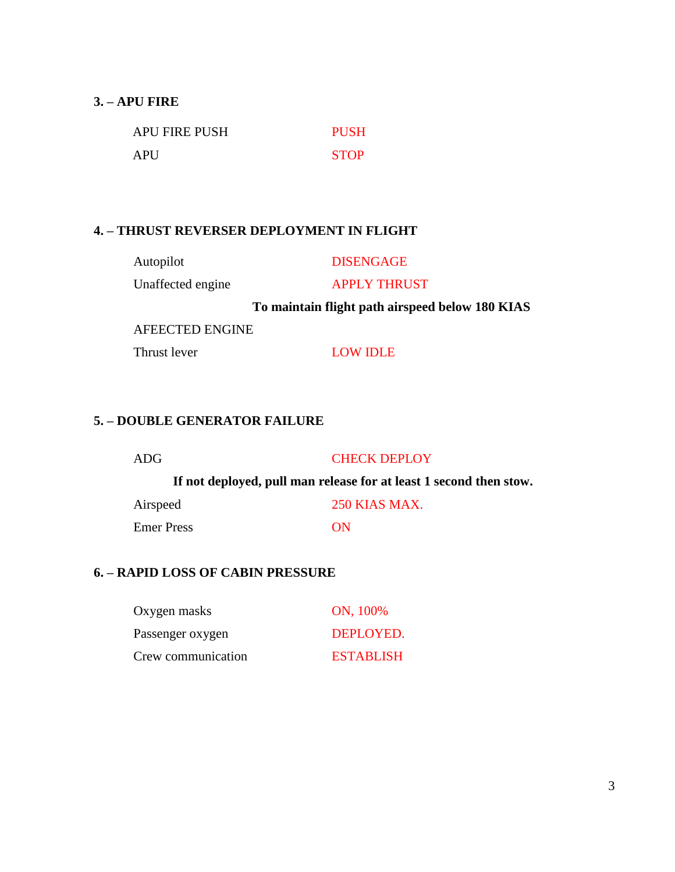### **3. – APU FIRE**

| <b>APU FIRE PUSH</b> | <b>PUSH</b> |
|----------------------|-------------|
| <b>APU</b>           | <b>STOP</b> |

### **4. – THRUST REVERSER DEPLOYMENT IN FLIGHT**

| Autopilot         | <b>DISENGAGE</b>    |
|-------------------|---------------------|
| Unaffected engine | <b>APPLY THRUST</b> |

# **To maintain flight path airspeed below 180 KIAS**

AFEECTED ENGINE

Thrust lever LOW IDLE

#### **5. – DOUBLE GENERATOR FAILURE**

**If not deployed, pull man release for at least 1 second then stow.**

| Airspeed          | 250 KIAS MAX. |
|-------------------|---------------|
| <b>Emer Press</b> | <b>ON</b>     |

#### **6. – RAPID LOSS OF CABIN PRESSURE**

| Oxygen masks       | ON, 100%         |
|--------------------|------------------|
| Passenger oxygen   | DEPLOYED.        |
| Crew communication | <b>ESTABLISH</b> |